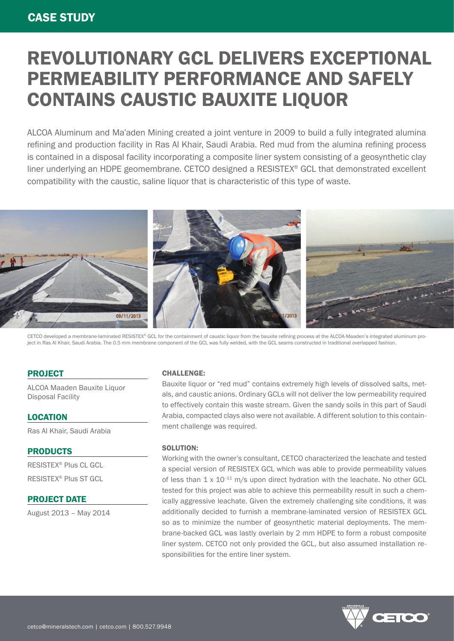# REVOLUTIONARY GCL DELIVERS EXCEPTIONAL PERMEABILITY PERFORMANCE AND SAFELY CONTAINS CAUSTIC BAUXITE LIQUOR

ALCOA Aluminum and Ma'aden Mining created a joint venture in 2009 to build a fully integrated alumina refining and production facility in Ras Al Khair, Saudi Arabia. Red mud from the alumina refining process is contained in a disposal facility incorporating a composite liner system consisting of a geosynthetic clay liner underlying an HDPE geomembrane. CETCO designed a RESISTEX® GCL that demonstrated excellent compatibility with the caustic, saline liquor that is characteristic of this type of waste.



CETCO developed a membrane-laminated RESISTEX® GCL for the containment of caustic liquor from the bauxite refining process at the ALCOA-Maaden's integrated aluminum project in Ras Al Khair, Saudi Arabia. The 0.5 mm membrane component of the GCL was fully welded, with the GCL seams constructed in traditional overlapped fashion.

#### PROJECT

ALCOA Maaden Bauxite Liquor Disposal Facility

**LOCATION** 

Ras Al Khair, Saudi Arabia

#### PRODUCTS

RESISTEX® Plus CL GCL RESISTEX® Plus ST GCL

### PROJECT DATE

August 2013 – May 2014

#### CHALLENGE:

Bauxite liquor or "red mud" contains extremely high levels of dissolved salts, metals, and caustic anions. Ordinary GCLs will not deliver the low permeability required to effectively contain this waste stream. Given the sandy soils in this part of Saudi Arabia, compacted clays also were not available. A different solution to this containment challenge was required.

#### SOLUTION:

Working with the owner's consultant, CETCO characterized the leachate and tested a special version of RESISTEX GCL which was able to provide permeability values of less than  $1 \times 10^{-11}$  m/s upon direct hydration with the leachate. No other GCL tested for this project was able to achieve this permeability result in such a chemically aggressive leachate. Given the extremely challenging site conditions, it was additionally decided to furnish a membrane-laminated version of RESISTEX GCL so as to minimize the number of geosynthetic material deployments. The membrane-backed GCL was lastly overlain by 2 mm HDPE to form a robust composite liner system. CETCO not only provided the GCL, but also assumed installation responsibilities for the entire liner system.